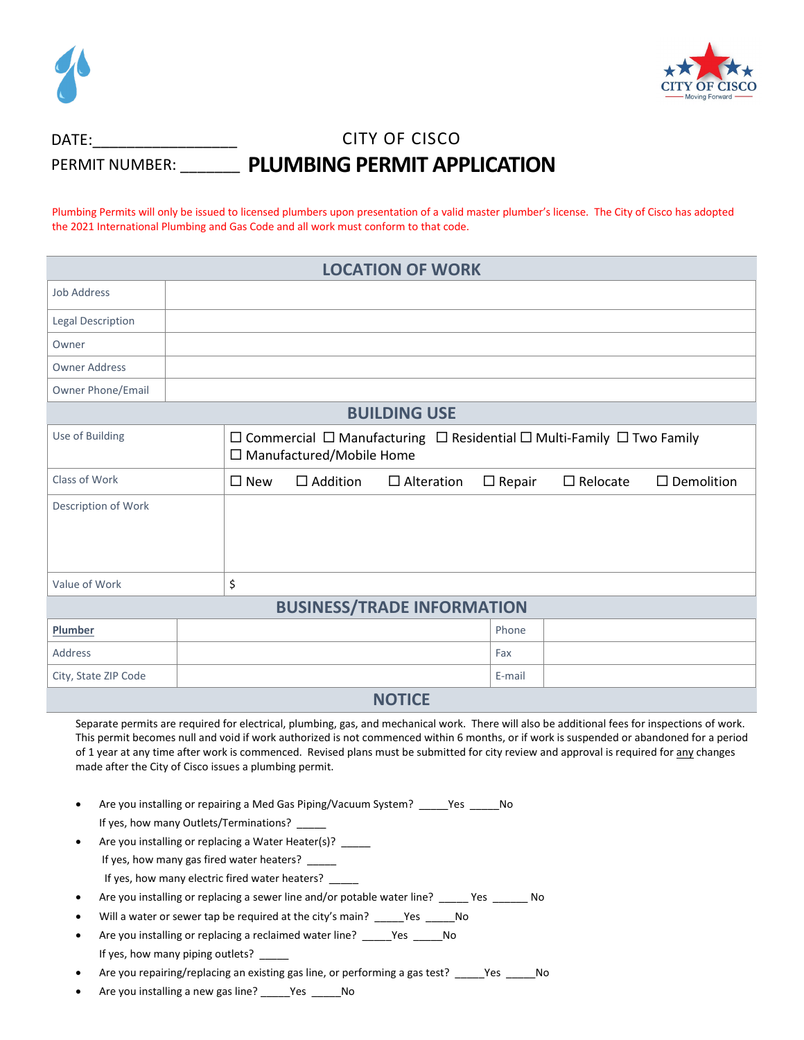



## CITY OF CISCO PERMIT NUMBER: \_\_\_\_\_\_\_ PLUMBING PERMIT APPLICATION DATE:

Plumbing Permits will only be issued to licensed plumbers upon presentation of a valid master plumber's license. The City of Cisco has adopted the 2021 International Plumbing and Gas Code and all work must conform to that code.

| <b>LOCATION OF WORK</b>           |                                                                                                                               |                 |                   |               |                 |                      |
|-----------------------------------|-------------------------------------------------------------------------------------------------------------------------------|-----------------|-------------------|---------------|-----------------|----------------------|
| <b>Job Address</b>                |                                                                                                                               |                 |                   |               |                 |                      |
| <b>Legal Description</b>          |                                                                                                                               |                 |                   |               |                 |                      |
| Owner                             |                                                                                                                               |                 |                   |               |                 |                      |
| <b>Owner Address</b>              |                                                                                                                               |                 |                   |               |                 |                      |
| Owner Phone/Email                 |                                                                                                                               |                 |                   |               |                 |                      |
| <b>BUILDING USE</b>               |                                                                                                                               |                 |                   |               |                 |                      |
| Use of Building                   | $\Box$ Commercial $\Box$ Manufacturing $\Box$ Residential $\Box$ Multi-Family $\Box$ Two Family<br>□ Manufactured/Mobile Home |                 |                   |               |                 |                      |
| Class of Work                     | $\square$ New                                                                                                                 | $\Box$ Addition | $\Box$ Alteration | $\Box$ Repair | $\Box$ Relocate | $\square$ Demolition |
| Description of Work               |                                                                                                                               |                 |                   |               |                 |                      |
| Value of Work                     | \$                                                                                                                            |                 |                   |               |                 |                      |
| <b>BUSINESS/TRADE INFORMATION</b> |                                                                                                                               |                 |                   |               |                 |                      |
| Plumber                           |                                                                                                                               |                 |                   | Phone         |                 |                      |
| Address                           |                                                                                                                               |                 |                   | Fax           |                 |                      |
| City, State ZIP Code              |                                                                                                                               |                 | <b>ALATIAE</b>    | E-mail        |                 |                      |

## **NOTICE**

Separate permits are required for electrical, plumbing, gas, and mechanical work. There will also be additional fees for inspections of work. This permit becomes null and void if work authorized is not commenced within 6 months, or if work is suspended or abandoned for a period of 1 year at any time after work is commenced. Revised plans must be submitted for city review and approval is required for any changes made after the City of Cisco issues a plumbing permit.

- Are you installing or repairing a Med Gas Piping/Vacuum System? Yes No If yes, how many Outlets/Terminations?
- Are you installing or replacing a Water Heater(s)? \_\_\_\_\_ If yes, how many gas fired water heaters? \_ If yes, how many electric fired water heaters?
- Are you installing or replacing a sewer line and/or potable water line? \_\_\_\_\_ Yes \_\_\_\_\_\_ No
- Will a water or sewer tap be required at the city's main? \_\_\_\_\_Yes \_\_\_\_\_No
- Are you installing or replacing a reclaimed water line? \_\_\_\_\_Yes \_\_\_\_\_No If yes, how many piping outlets? \_
- Are you repairing/replacing an existing gas line, or performing a gas test? \_\_\_\_\_Yes \_\_\_\_\_No
- Are you installing a new gas line? \_\_\_\_\_Yes \_\_\_\_\_No